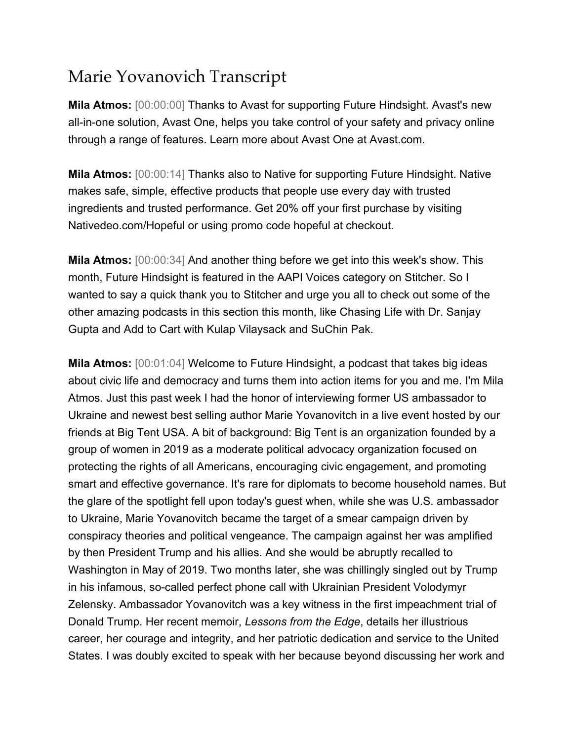## Marie Yovanovich Transcript

**Mila Atmos:** [00:00:00] Thanks to Avast for supporting Future Hindsight. Avast's new all-in-one solution, Avast One, helps you take control of your safety and privacy online through a range of features. Learn more about Avast One at Avast.com.

**Mila Atmos:** [00:00:14] Thanks also to Native for supporting Future Hindsight. Native makes safe, simple, effective products that people use every day with trusted ingredients and trusted performance. Get 20% off your first purchase by visiting Nativedeo.com/Hopeful or using promo code hopeful at checkout.

**Mila Atmos:** [00:00:34] And another thing before we get into this week's show. This month, Future Hindsight is featured in the AAPI Voices category on Stitcher. So I wanted to say a quick thank you to Stitcher and urge you all to check out some of the other amazing podcasts in this section this month, like Chasing Life with Dr. Sanjay Gupta and Add to Cart with Kulap Vilaysack and SuChin Pak.

**Mila Atmos:** [00:01:04] Welcome to Future Hindsight, a podcast that takes big ideas about civic life and democracy and turns them into action items for you and me. I'm Mila Atmos. Just this past week I had the honor of interviewing former US ambassador to Ukraine and newest best selling author Marie Yovanovitch in a live event hosted by our friends at Big Tent USA. A bit of background: Big Tent is an organization founded by a group of women in 2019 as a moderate political advocacy organization focused on protecting the rights of all Americans, encouraging civic engagement, and promoting smart and effective governance. It's rare for diplomats to become household names. But the glare of the spotlight fell upon today's guest when, while she was U.S. ambassador to Ukraine, Marie Yovanovitch became the target of a smear campaign driven by conspiracy theories and political vengeance. The campaign against her was amplified by then President Trump and his allies. And she would be abruptly recalled to Washington in May of 2019. Two months later, she was chillingly singled out by Trump in his infamous, so-called perfect phone call with Ukrainian President Volodymyr Zelensky. Ambassador Yovanovitch was a key witness in the first impeachment trial of Donald Trump. Her recent memoir, *Lessons from the Edge*, details her illustrious career, her courage and integrity, and her patriotic dedication and service to the United States. I was doubly excited to speak with her because beyond discussing her work and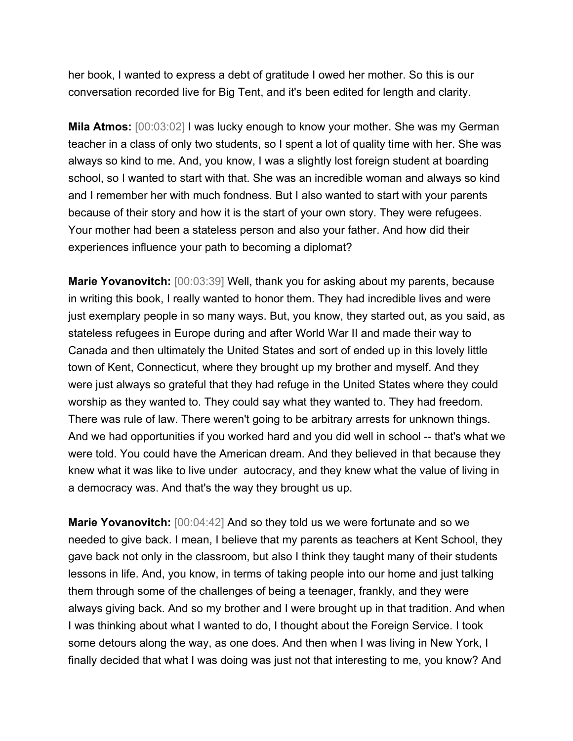her book, I wanted to express a debt of gratitude I owed her mother. So this is our conversation recorded live for Big Tent, and it's been edited for length and clarity.

**Mila Atmos:** [00:03:02] I was lucky enough to know your mother. She was my German teacher in a class of only two students, so I spent a lot of quality time with her. She was always so kind to me. And, you know, I was a slightly lost foreign student at boarding school, so I wanted to start with that. She was an incredible woman and always so kind and I remember her with much fondness. But I also wanted to start with your parents because of their story and how it is the start of your own story. They were refugees. Your mother had been a stateless person and also your father. And how did their experiences influence your path to becoming a diplomat?

**Marie Yovanovitch:** [00:03:39] Well, thank you for asking about my parents, because in writing this book, I really wanted to honor them. They had incredible lives and were just exemplary people in so many ways. But, you know, they started out, as you said, as stateless refugees in Europe during and after World War II and made their way to Canada and then ultimately the United States and sort of ended up in this lovely little town of Kent, Connecticut, where they brought up my brother and myself. And they were just always so grateful that they had refuge in the United States where they could worship as they wanted to. They could say what they wanted to. They had freedom. There was rule of law. There weren't going to be arbitrary arrests for unknown things. And we had opportunities if you worked hard and you did well in school -- that's what we were told. You could have the American dream. And they believed in that because they knew what it was like to live under autocracy, and they knew what the value of living in a democracy was. And that's the way they brought us up.

**Marie Yovanovitch:** [00:04:42] And so they told us we were fortunate and so we needed to give back. I mean, I believe that my parents as teachers at Kent School, they gave back not only in the classroom, but also I think they taught many of their students lessons in life. And, you know, in terms of taking people into our home and just talking them through some of the challenges of being a teenager, frankly, and they were always giving back. And so my brother and I were brought up in that tradition. And when I was thinking about what I wanted to do, I thought about the Foreign Service. I took some detours along the way, as one does. And then when I was living in New York, I finally decided that what I was doing was just not that interesting to me, you know? And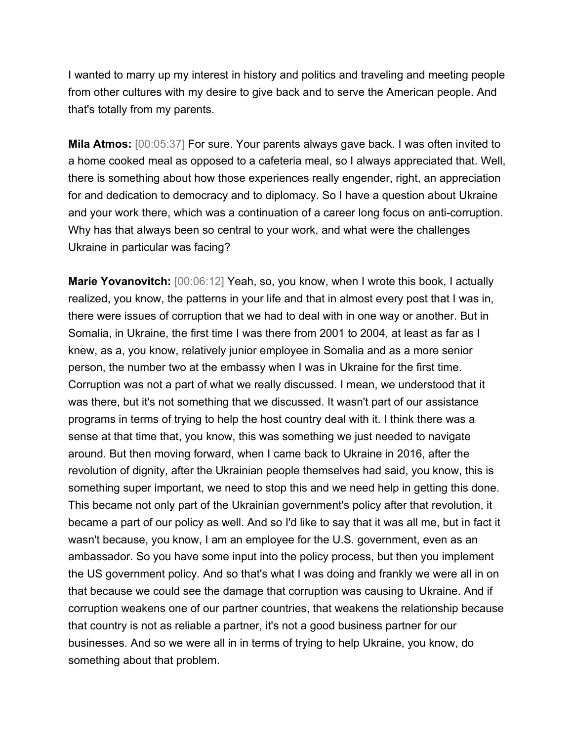I wanted to marry up my interest in history and politics and traveling and meeting people from other cultures with my desire to give back and to serve the American people. And that's totally from my parents.

**Mila Atmos:** [00:05:37] For sure. Your parents always gave back. I was often invited to a home cooked meal as opposed to a cafeteria meal, so I always appreciated that. Well, there is something about how those experiences really engender, right, an appreciation for and dedication to democracy and to diplomacy. So I have a question about Ukraine and your work there, which was a continuation of a career long focus on anti-corruption. Why has that always been so central to your work, and what were the challenges Ukraine in particular was facing?

**Marie Yovanovitch:** [00:06:12] Yeah, so, you know, when I wrote this book, I actually realized, you know, the patterns in your life and that in almost every post that I was in, there were issues of corruption that we had to deal with in one way or another. But in Somalia, in Ukraine, the first time I was there from 2001 to 2004, at least as far as I knew, as a, you know, relatively junior employee in Somalia and as a more senior person, the number two at the embassy when I was in Ukraine for the first time. Corruption was not a part of what we really discussed. I mean, we understood that it was there, but it's not something that we discussed. It wasn't part of our assistance programs in terms of trying to help the host country deal with it. I think there was a sense at that time that, you know, this was something we just needed to navigate around. But then moving forward, when I came back to Ukraine in 2016, after the revolution of dignity, after the Ukrainian people themselves had said, you know, this is something super important, we need to stop this and we need help in getting this done. This became not only part of the Ukrainian government's policy after that revolution, it became a part of our policy as well. And so I'd like to say that it was all me, but in fact it wasn't because, you know, I am an employee for the U.S. government, even as an ambassador. So you have some input into the policy process, but then you implement the US government policy. And so that's what I was doing and frankly we were all in on that because we could see the damage that corruption was causing to Ukraine. And if corruption weakens one of our partner countries, that weakens the relationship because that country is not as reliable a partner, it's not a good business partner for our businesses. And so we were all in in terms of trying to help Ukraine, you know, do something about that problem.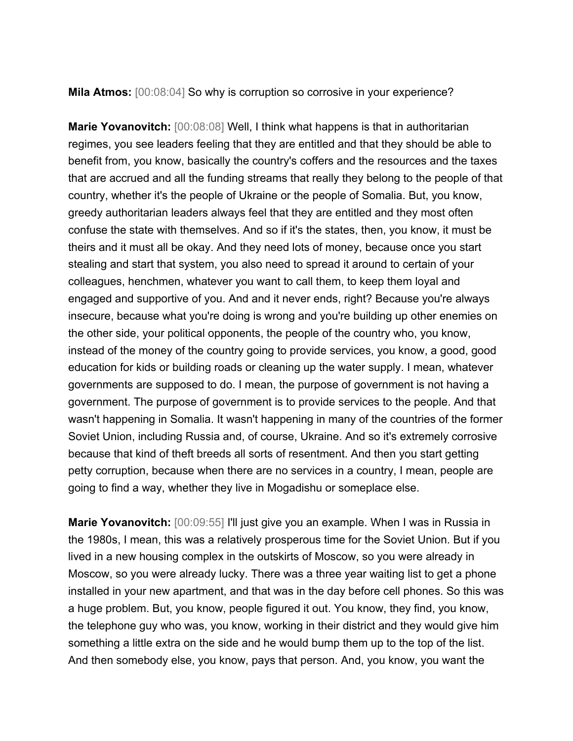**Mila Atmos:** [00:08:04] So why is corruption so corrosive in your experience?

**Marie Yovanovitch:** [00:08:08] Well, I think what happens is that in authoritarian regimes, you see leaders feeling that they are entitled and that they should be able to benefit from, you know, basically the country's coffers and the resources and the taxes that are accrued and all the funding streams that really they belong to the people of that country, whether it's the people of Ukraine or the people of Somalia. But, you know, greedy authoritarian leaders always feel that they are entitled and they most often confuse the state with themselves. And so if it's the states, then, you know, it must be theirs and it must all be okay. And they need lots of money, because once you start stealing and start that system, you also need to spread it around to certain of your colleagues, henchmen, whatever you want to call them, to keep them loyal and engaged and supportive of you. And and it never ends, right? Because you're always insecure, because what you're doing is wrong and you're building up other enemies on the other side, your political opponents, the people of the country who, you know, instead of the money of the country going to provide services, you know, a good, good education for kids or building roads or cleaning up the water supply. I mean, whatever governments are supposed to do. I mean, the purpose of government is not having a government. The purpose of government is to provide services to the people. And that wasn't happening in Somalia. It wasn't happening in many of the countries of the former Soviet Union, including Russia and, of course, Ukraine. And so it's extremely corrosive because that kind of theft breeds all sorts of resentment. And then you start getting petty corruption, because when there are no services in a country, I mean, people are going to find a way, whether they live in Mogadishu or someplace else.

**Marie Yovanovitch:** [00:09:55] I'll just give you an example. When I was in Russia in the 1980s, I mean, this was a relatively prosperous time for the Soviet Union. But if you lived in a new housing complex in the outskirts of Moscow, so you were already in Moscow, so you were already lucky. There was a three year waiting list to get a phone installed in your new apartment, and that was in the day before cell phones. So this was a huge problem. But, you know, people figured it out. You know, they find, you know, the telephone guy who was, you know, working in their district and they would give him something a little extra on the side and he would bump them up to the top of the list. And then somebody else, you know, pays that person. And, you know, you want the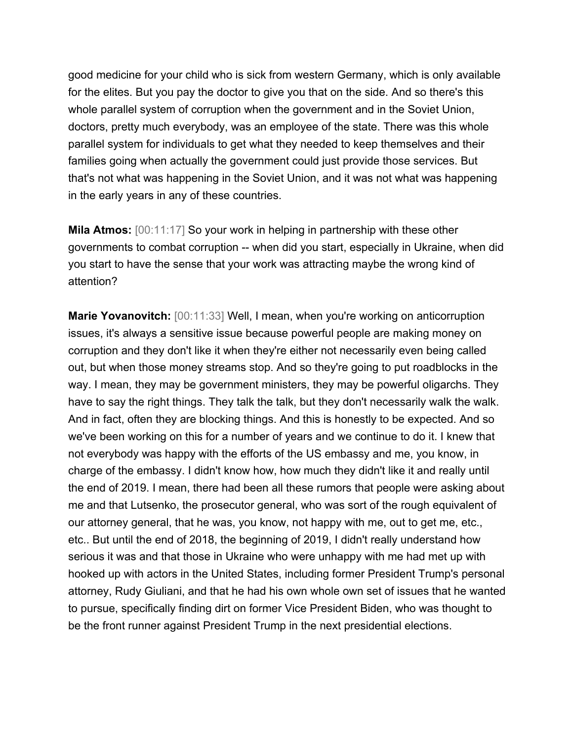good medicine for your child who is sick from western Germany, which is only available for the elites. But you pay the doctor to give you that on the side. And so there's this whole parallel system of corruption when the government and in the Soviet Union, doctors, pretty much everybody, was an employee of the state. There was this whole parallel system for individuals to get what they needed to keep themselves and their families going when actually the government could just provide those services. But that's not what was happening in the Soviet Union, and it was not what was happening in the early years in any of these countries.

**Mila Atmos:** [00:11:17] So your work in helping in partnership with these other governments to combat corruption -- when did you start, especially in Ukraine, when did you start to have the sense that your work was attracting maybe the wrong kind of attention?

**Marie Yovanovitch:** [00:11:33] Well, I mean, when you're working on anticorruption issues, it's always a sensitive issue because powerful people are making money on corruption and they don't like it when they're either not necessarily even being called out, but when those money streams stop. And so they're going to put roadblocks in the way. I mean, they may be government ministers, they may be powerful oligarchs. They have to say the right things. They talk the talk, but they don't necessarily walk the walk. And in fact, often they are blocking things. And this is honestly to be expected. And so we've been working on this for a number of years and we continue to do it. I knew that not everybody was happy with the efforts of the US embassy and me, you know, in charge of the embassy. I didn't know how, how much they didn't like it and really until the end of 2019. I mean, there had been all these rumors that people were asking about me and that Lutsenko, the prosecutor general, who was sort of the rough equivalent of our attorney general, that he was, you know, not happy with me, out to get me, etc., etc.. But until the end of 2018, the beginning of 2019, I didn't really understand how serious it was and that those in Ukraine who were unhappy with me had met up with hooked up with actors in the United States, including former President Trump's personal attorney, Rudy Giuliani, and that he had his own whole own set of issues that he wanted to pursue, specifically finding dirt on former Vice President Biden, who was thought to be the front runner against President Trump in the next presidential elections.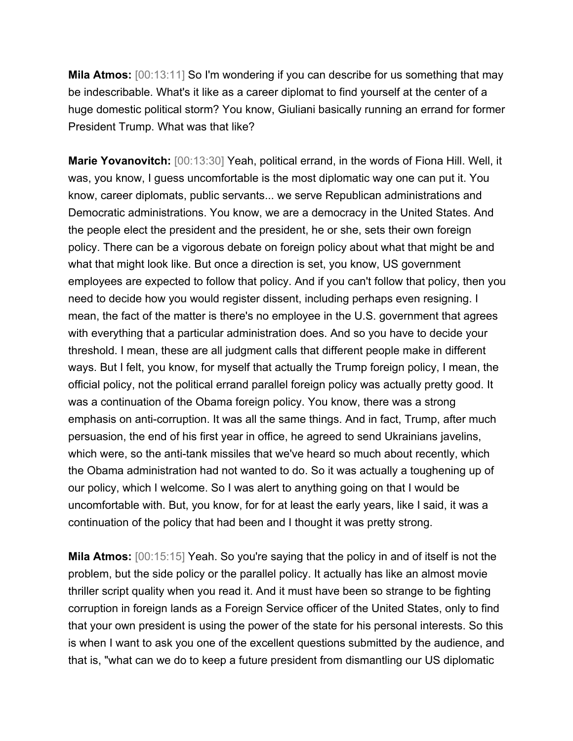**Mila Atmos:** [00:13:11] So I'm wondering if you can describe for us something that may be indescribable. What's it like as a career diplomat to find yourself at the center of a huge domestic political storm? You know, Giuliani basically running an errand for former President Trump. What was that like?

**Marie Yovanovitch:** [00:13:30] Yeah, political errand, in the words of Fiona Hill. Well, it was, you know, I guess uncomfortable is the most diplomatic way one can put it. You know, career diplomats, public servants... we serve Republican administrations and Democratic administrations. You know, we are a democracy in the United States. And the people elect the president and the president, he or she, sets their own foreign policy. There can be a vigorous debate on foreign policy about what that might be and what that might look like. But once a direction is set, you know, US government employees are expected to follow that policy. And if you can't follow that policy, then you need to decide how you would register dissent, including perhaps even resigning. I mean, the fact of the matter is there's no employee in the U.S. government that agrees with everything that a particular administration does. And so you have to decide your threshold. I mean, these are all judgment calls that different people make in different ways. But I felt, you know, for myself that actually the Trump foreign policy, I mean, the official policy, not the political errand parallel foreign policy was actually pretty good. It was a continuation of the Obama foreign policy. You know, there was a strong emphasis on anti-corruption. It was all the same things. And in fact, Trump, after much persuasion, the end of his first year in office, he agreed to send Ukrainians javelins, which were, so the anti-tank missiles that we've heard so much about recently, which the Obama administration had not wanted to do. So it was actually a toughening up of our policy, which I welcome. So I was alert to anything going on that I would be uncomfortable with. But, you know, for for at least the early years, like I said, it was a continuation of the policy that had been and I thought it was pretty strong.

**Mila Atmos:** [00:15:15] Yeah. So you're saying that the policy in and of itself is not the problem, but the side policy or the parallel policy. It actually has like an almost movie thriller script quality when you read it. And it must have been so strange to be fighting corruption in foreign lands as a Foreign Service officer of the United States, only to find that your own president is using the power of the state for his personal interests. So this is when I want to ask you one of the excellent questions submitted by the audience, and that is, "what can we do to keep a future president from dismantling our US diplomatic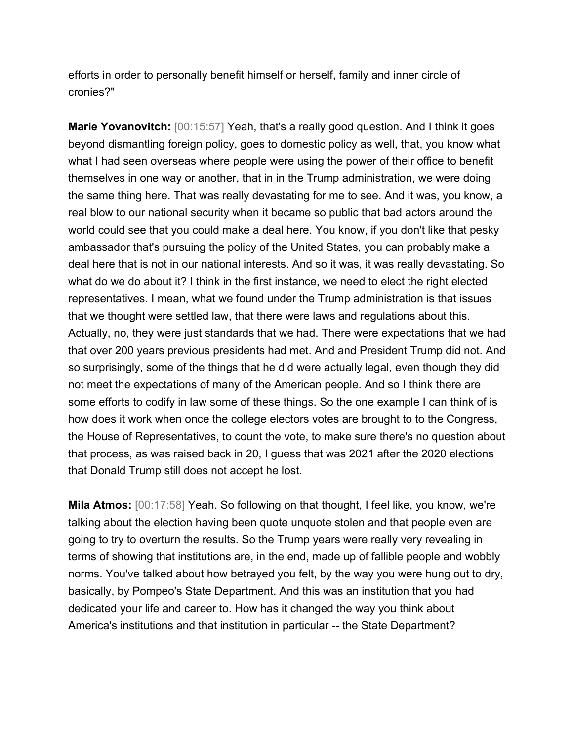efforts in order to personally benefit himself or herself, family and inner circle of cronies?"

**Marie Yovanovitch:** [00:15:57] Yeah, that's a really good question. And I think it goes beyond dismantling foreign policy, goes to domestic policy as well, that, you know what what I had seen overseas where people were using the power of their office to benefit themselves in one way or another, that in in the Trump administration, we were doing the same thing here. That was really devastating for me to see. And it was, you know, a real blow to our national security when it became so public that bad actors around the world could see that you could make a deal here. You know, if you don't like that pesky ambassador that's pursuing the policy of the United States, you can probably make a deal here that is not in our national interests. And so it was, it was really devastating. So what do we do about it? I think in the first instance, we need to elect the right elected representatives. I mean, what we found under the Trump administration is that issues that we thought were settled law, that there were laws and regulations about this. Actually, no, they were just standards that we had. There were expectations that we had that over 200 years previous presidents had met. And and President Trump did not. And so surprisingly, some of the things that he did were actually legal, even though they did not meet the expectations of many of the American people. And so I think there are some efforts to codify in law some of these things. So the one example I can think of is how does it work when once the college electors votes are brought to to the Congress, the House of Representatives, to count the vote, to make sure there's no question about that process, as was raised back in 20, I guess that was 2021 after the 2020 elections that Donald Trump still does not accept he lost.

**Mila Atmos:** [00:17:58] Yeah. So following on that thought, I feel like, you know, we're talking about the election having been quote unquote stolen and that people even are going to try to overturn the results. So the Trump years were really very revealing in terms of showing that institutions are, in the end, made up of fallible people and wobbly norms. You've talked about how betrayed you felt, by the way you were hung out to dry, basically, by Pompeo's State Department. And this was an institution that you had dedicated your life and career to. How has it changed the way you think about America's institutions and that institution in particular -- the State Department?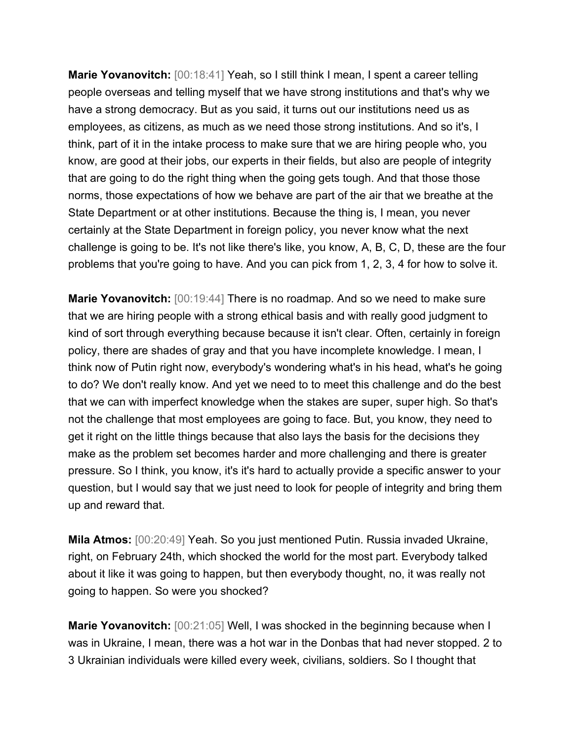**Marie Yovanovitch:** [00:18:41] Yeah, so I still think I mean, I spent a career telling people overseas and telling myself that we have strong institutions and that's why we have a strong democracy. But as you said, it turns out our institutions need us as employees, as citizens, as much as we need those strong institutions. And so it's, I think, part of it in the intake process to make sure that we are hiring people who, you know, are good at their jobs, our experts in their fields, but also are people of integrity that are going to do the right thing when the going gets tough. And that those those norms, those expectations of how we behave are part of the air that we breathe at the State Department or at other institutions. Because the thing is, I mean, you never certainly at the State Department in foreign policy, you never know what the next challenge is going to be. It's not like there's like, you know, A, B, C, D, these are the four problems that you're going to have. And you can pick from 1, 2, 3, 4 for how to solve it.

**Marie Yovanovitch:** [00:19:44] There is no roadmap. And so we need to make sure that we are hiring people with a strong ethical basis and with really good judgment to kind of sort through everything because because it isn't clear. Often, certainly in foreign policy, there are shades of gray and that you have incomplete knowledge. I mean, I think now of Putin right now, everybody's wondering what's in his head, what's he going to do? We don't really know. And yet we need to to meet this challenge and do the best that we can with imperfect knowledge when the stakes are super, super high. So that's not the challenge that most employees are going to face. But, you know, they need to get it right on the little things because that also lays the basis for the decisions they make as the problem set becomes harder and more challenging and there is greater pressure. So I think, you know, it's it's hard to actually provide a specific answer to your question, but I would say that we just need to look for people of integrity and bring them up and reward that.

**Mila Atmos:** [00:20:49] Yeah. So you just mentioned Putin. Russia invaded Ukraine, right, on February 24th, which shocked the world for the most part. Everybody talked about it like it was going to happen, but then everybody thought, no, it was really not going to happen. So were you shocked?

**Marie Yovanovitch:** [00:21:05] Well, I was shocked in the beginning because when I was in Ukraine, I mean, there was a hot war in the Donbas that had never stopped. 2 to 3 Ukrainian individuals were killed every week, civilians, soldiers. So I thought that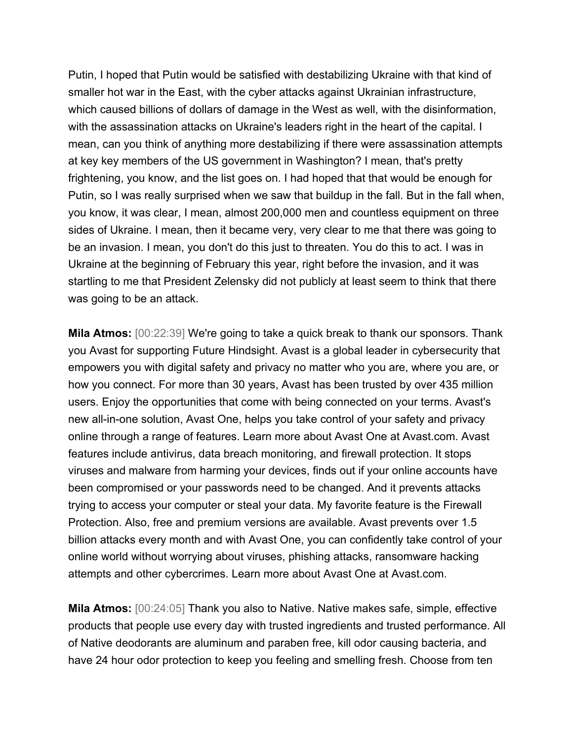Putin, I hoped that Putin would be satisfied with destabilizing Ukraine with that kind of smaller hot war in the East, with the cyber attacks against Ukrainian infrastructure, which caused billions of dollars of damage in the West as well, with the disinformation, with the assassination attacks on Ukraine's leaders right in the heart of the capital. I mean, can you think of anything more destabilizing if there were assassination attempts at key key members of the US government in Washington? I mean, that's pretty frightening, you know, and the list goes on. I had hoped that that would be enough for Putin, so I was really surprised when we saw that buildup in the fall. But in the fall when, you know, it was clear, I mean, almost 200,000 men and countless equipment on three sides of Ukraine. I mean, then it became very, very clear to me that there was going to be an invasion. I mean, you don't do this just to threaten. You do this to act. I was in Ukraine at the beginning of February this year, right before the invasion, and it was startling to me that President Zelensky did not publicly at least seem to think that there was going to be an attack.

**Mila Atmos:** [00:22:39] We're going to take a quick break to thank our sponsors. Thank you Avast for supporting Future Hindsight. Avast is a global leader in cybersecurity that empowers you with digital safety and privacy no matter who you are, where you are, or how you connect. For more than 30 years, Avast has been trusted by over 435 million users. Enjoy the opportunities that come with being connected on your terms. Avast's new all-in-one solution, Avast One, helps you take control of your safety and privacy online through a range of features. Learn more about Avast One at Avast.com. Avast features include antivirus, data breach monitoring, and firewall protection. It stops viruses and malware from harming your devices, finds out if your online accounts have been compromised or your passwords need to be changed. And it prevents attacks trying to access your computer or steal your data. My favorite feature is the Firewall Protection. Also, free and premium versions are available. Avast prevents over 1.5 billion attacks every month and with Avast One, you can confidently take control of your online world without worrying about viruses, phishing attacks, ransomware hacking attempts and other cybercrimes. Learn more about Avast One at Avast.com.

**Mila Atmos:** [00:24:05] Thank you also to Native. Native makes safe, simple, effective products that people use every day with trusted ingredients and trusted performance. All of Native deodorants are aluminum and paraben free, kill odor causing bacteria, and have 24 hour odor protection to keep you feeling and smelling fresh. Choose from ten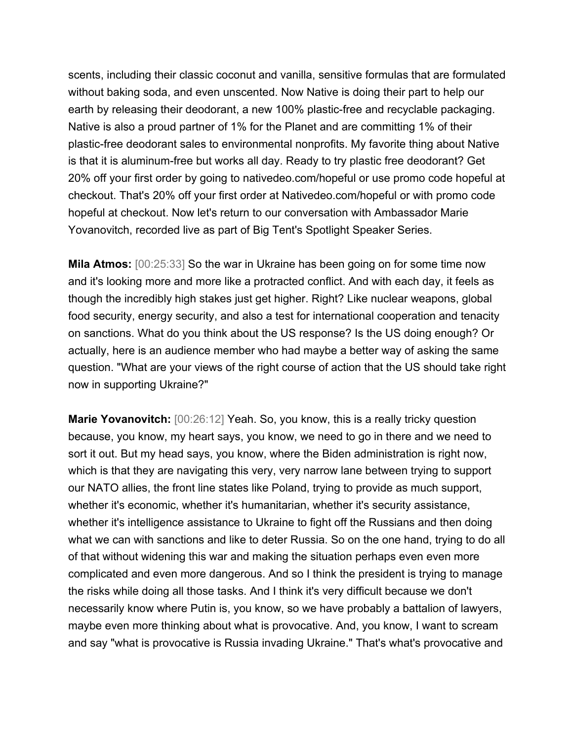scents, including their classic coconut and vanilla, sensitive formulas that are formulated without baking soda, and even unscented. Now Native is doing their part to help our earth by releasing their deodorant, a new 100% plastic-free and recyclable packaging. Native is also a proud partner of 1% for the Planet and are committing 1% of their plastic-free deodorant sales to environmental nonprofits. My favorite thing about Native is that it is aluminum-free but works all day. Ready to try plastic free deodorant? Get 20% off your first order by going to nativedeo.com/hopeful or use promo code hopeful at checkout. That's 20% off your first order at Nativedeo.com/hopeful or with promo code hopeful at checkout. Now let's return to our conversation with Ambassador Marie Yovanovitch, recorded live as part of Big Tent's Spotlight Speaker Series.

**Mila Atmos:** [00:25:33] So the war in Ukraine has been going on for some time now and it's looking more and more like a protracted conflict. And with each day, it feels as though the incredibly high stakes just get higher. Right? Like nuclear weapons, global food security, energy security, and also a test for international cooperation and tenacity on sanctions. What do you think about the US response? Is the US doing enough? Or actually, here is an audience member who had maybe a better way of asking the same question. "What are your views of the right course of action that the US should take right now in supporting Ukraine?"

**Marie Yovanovitch:** [00:26:12] Yeah. So, you know, this is a really tricky question because, you know, my heart says, you know, we need to go in there and we need to sort it out. But my head says, you know, where the Biden administration is right now, which is that they are navigating this very, very narrow lane between trying to support our NATO allies, the front line states like Poland, trying to provide as much support, whether it's economic, whether it's humanitarian, whether it's security assistance, whether it's intelligence assistance to Ukraine to fight off the Russians and then doing what we can with sanctions and like to deter Russia. So on the one hand, trying to do all of that without widening this war and making the situation perhaps even even more complicated and even more dangerous. And so I think the president is trying to manage the risks while doing all those tasks. And I think it's very difficult because we don't necessarily know where Putin is, you know, so we have probably a battalion of lawyers, maybe even more thinking about what is provocative. And, you know, I want to scream and say "what is provocative is Russia invading Ukraine." That's what's provocative and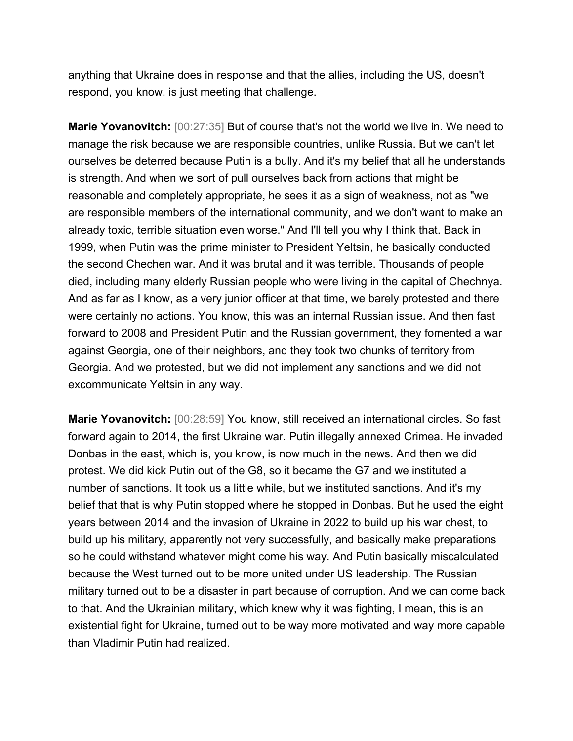anything that Ukraine does in response and that the allies, including the US, doesn't respond, you know, is just meeting that challenge.

**Marie Yovanovitch:** [00:27:35] But of course that's not the world we live in. We need to manage the risk because we are responsible countries, unlike Russia. But we can't let ourselves be deterred because Putin is a bully. And it's my belief that all he understands is strength. And when we sort of pull ourselves back from actions that might be reasonable and completely appropriate, he sees it as a sign of weakness, not as "we are responsible members of the international community, and we don't want to make an already toxic, terrible situation even worse." And I'll tell you why I think that. Back in 1999, when Putin was the prime minister to President Yeltsin, he basically conducted the second Chechen war. And it was brutal and it was terrible. Thousands of people died, including many elderly Russian people who were living in the capital of Chechnya. And as far as I know, as a very junior officer at that time, we barely protested and there were certainly no actions. You know, this was an internal Russian issue. And then fast forward to 2008 and President Putin and the Russian government, they fomented a war against Georgia, one of their neighbors, and they took two chunks of territory from Georgia. And we protested, but we did not implement any sanctions and we did not excommunicate Yeltsin in any way.

**Marie Yovanovitch:** [00:28:59] You know, still received an international circles. So fast forward again to 2014, the first Ukraine war. Putin illegally annexed Crimea. He invaded Donbas in the east, which is, you know, is now much in the news. And then we did protest. We did kick Putin out of the G8, so it became the G7 and we instituted a number of sanctions. It took us a little while, but we instituted sanctions. And it's my belief that that is why Putin stopped where he stopped in Donbas. But he used the eight years between 2014 and the invasion of Ukraine in 2022 to build up his war chest, to build up his military, apparently not very successfully, and basically make preparations so he could withstand whatever might come his way. And Putin basically miscalculated because the West turned out to be more united under US leadership. The Russian military turned out to be a disaster in part because of corruption. And we can come back to that. And the Ukrainian military, which knew why it was fighting, I mean, this is an existential fight for Ukraine, turned out to be way more motivated and way more capable than Vladimir Putin had realized.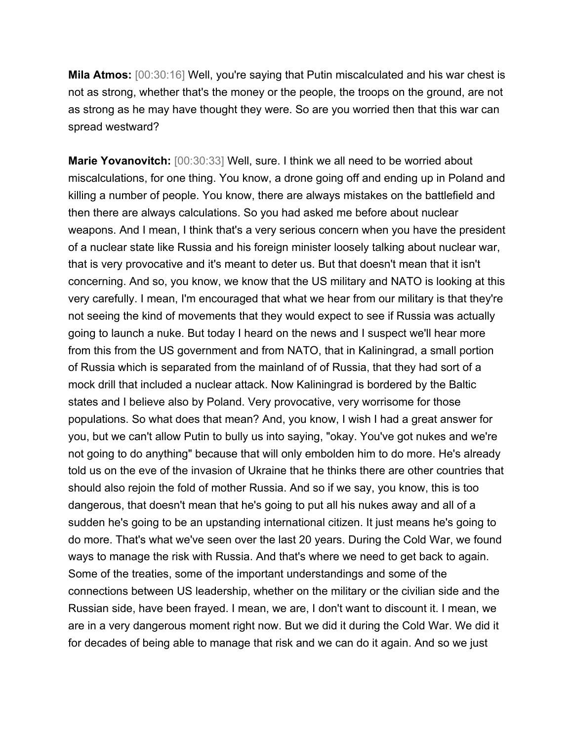**Mila Atmos:** [00:30:16] Well, you're saying that Putin miscalculated and his war chest is not as strong, whether that's the money or the people, the troops on the ground, are not as strong as he may have thought they were. So are you worried then that this war can spread westward?

**Marie Yovanovitch:** [00:30:33] Well, sure. I think we all need to be worried about miscalculations, for one thing. You know, a drone going off and ending up in Poland and killing a number of people. You know, there are always mistakes on the battlefield and then there are always calculations. So you had asked me before about nuclear weapons. And I mean, I think that's a very serious concern when you have the president of a nuclear state like Russia and his foreign minister loosely talking about nuclear war, that is very provocative and it's meant to deter us. But that doesn't mean that it isn't concerning. And so, you know, we know that the US military and NATO is looking at this very carefully. I mean, I'm encouraged that what we hear from our military is that they're not seeing the kind of movements that they would expect to see if Russia was actually going to launch a nuke. But today I heard on the news and I suspect we'll hear more from this from the US government and from NATO, that in Kaliningrad, a small portion of Russia which is separated from the mainland of of Russia, that they had sort of a mock drill that included a nuclear attack. Now Kaliningrad is bordered by the Baltic states and I believe also by Poland. Very provocative, very worrisome for those populations. So what does that mean? And, you know, I wish I had a great answer for you, but we can't allow Putin to bully us into saying, "okay. You've got nukes and we're not going to do anything" because that will only embolden him to do more. He's already told us on the eve of the invasion of Ukraine that he thinks there are other countries that should also rejoin the fold of mother Russia. And so if we say, you know, this is too dangerous, that doesn't mean that he's going to put all his nukes away and all of a sudden he's going to be an upstanding international citizen. It just means he's going to do more. That's what we've seen over the last 20 years. During the Cold War, we found ways to manage the risk with Russia. And that's where we need to get back to again. Some of the treaties, some of the important understandings and some of the connections between US leadership, whether on the military or the civilian side and the Russian side, have been frayed. I mean, we are, I don't want to discount it. I mean, we are in a very dangerous moment right now. But we did it during the Cold War. We did it for decades of being able to manage that risk and we can do it again. And so we just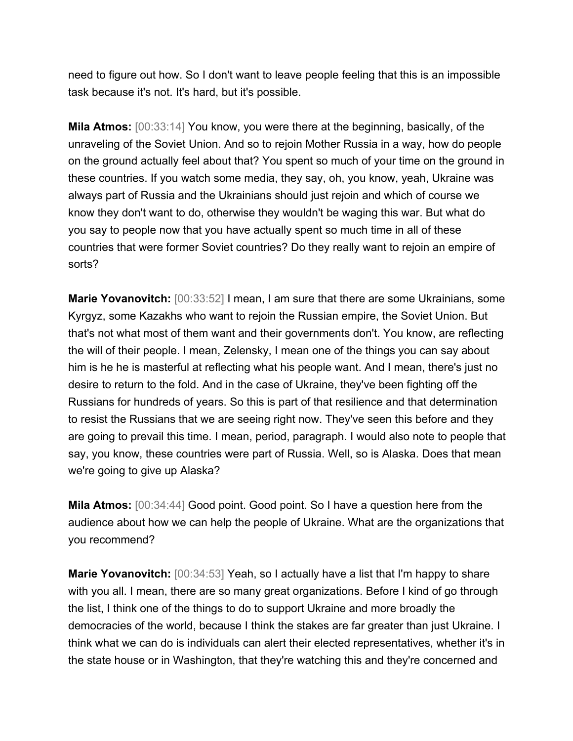need to figure out how. So I don't want to leave people feeling that this is an impossible task because it's not. It's hard, but it's possible.

**Mila Atmos:** [00:33:14] You know, you were there at the beginning, basically, of the unraveling of the Soviet Union. And so to rejoin Mother Russia in a way, how do people on the ground actually feel about that? You spent so much of your time on the ground in these countries. If you watch some media, they say, oh, you know, yeah, Ukraine was always part of Russia and the Ukrainians should just rejoin and which of course we know they don't want to do, otherwise they wouldn't be waging this war. But what do you say to people now that you have actually spent so much time in all of these countries that were former Soviet countries? Do they really want to rejoin an empire of sorts?

**Marie Yovanovitch:** [00:33:52] I mean, I am sure that there are some Ukrainians, some Kyrgyz, some Kazakhs who want to rejoin the Russian empire, the Soviet Union. But that's not what most of them want and their governments don't. You know, are reflecting the will of their people. I mean, Zelensky, I mean one of the things you can say about him is he he is masterful at reflecting what his people want. And I mean, there's just no desire to return to the fold. And in the case of Ukraine, they've been fighting off the Russians for hundreds of years. So this is part of that resilience and that determination to resist the Russians that we are seeing right now. They've seen this before and they are going to prevail this time. I mean, period, paragraph. I would also note to people that say, you know, these countries were part of Russia. Well, so is Alaska. Does that mean we're going to give up Alaska?

**Mila Atmos:** [00:34:44] Good point. Good point. So I have a question here from the audience about how we can help the people of Ukraine. What are the organizations that you recommend?

**Marie Yovanovitch:** [00:34:53] Yeah, so I actually have a list that I'm happy to share with you all. I mean, there are so many great organizations. Before I kind of go through the list, I think one of the things to do to support Ukraine and more broadly the democracies of the world, because I think the stakes are far greater than just Ukraine. I think what we can do is individuals can alert their elected representatives, whether it's in the state house or in Washington, that they're watching this and they're concerned and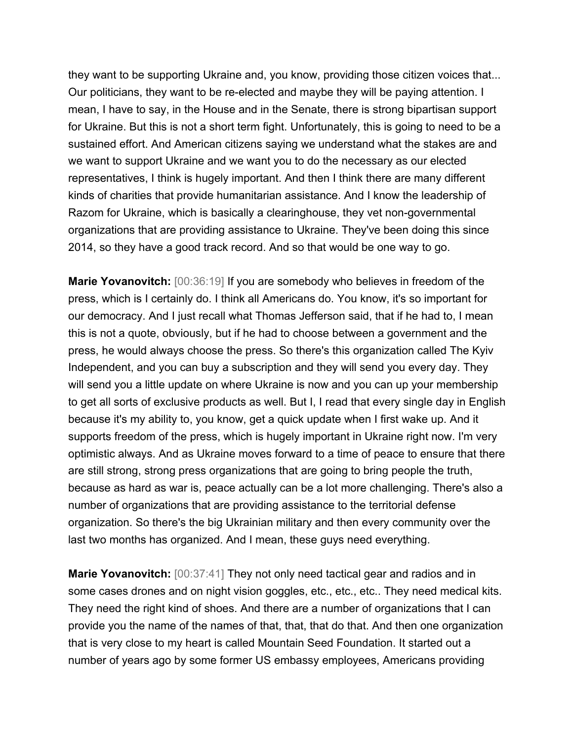they want to be supporting Ukraine and, you know, providing those citizen voices that... Our politicians, they want to be re-elected and maybe they will be paying attention. I mean, I have to say, in the House and in the Senate, there is strong bipartisan support for Ukraine. But this is not a short term fight. Unfortunately, this is going to need to be a sustained effort. And American citizens saying we understand what the stakes are and we want to support Ukraine and we want you to do the necessary as our elected representatives, I think is hugely important. And then I think there are many different kinds of charities that provide humanitarian assistance. And I know the leadership of Razom for Ukraine, which is basically a clearinghouse, they vet non-governmental organizations that are providing assistance to Ukraine. They've been doing this since 2014, so they have a good track record. And so that would be one way to go.

**Marie Yovanovitch:** [00:36:19] If you are somebody who believes in freedom of the press, which is I certainly do. I think all Americans do. You know, it's so important for our democracy. And I just recall what Thomas Jefferson said, that if he had to, I mean this is not a quote, obviously, but if he had to choose between a government and the press, he would always choose the press. So there's this organization called The Kyiv Independent, and you can buy a subscription and they will send you every day. They will send you a little update on where Ukraine is now and you can up your membership to get all sorts of exclusive products as well. But I, I read that every single day in English because it's my ability to, you know, get a quick update when I first wake up. And it supports freedom of the press, which is hugely important in Ukraine right now. I'm very optimistic always. And as Ukraine moves forward to a time of peace to ensure that there are still strong, strong press organizations that are going to bring people the truth, because as hard as war is, peace actually can be a lot more challenging. There's also a number of organizations that are providing assistance to the territorial defense organization. So there's the big Ukrainian military and then every community over the last two months has organized. And I mean, these guys need everything.

**Marie Yovanovitch:** [00:37:41] They not only need tactical gear and radios and in some cases drones and on night vision goggles, etc., etc., etc.. They need medical kits. They need the right kind of shoes. And there are a number of organizations that I can provide you the name of the names of that, that, that do that. And then one organization that is very close to my heart is called Mountain Seed Foundation. It started out a number of years ago by some former US embassy employees, Americans providing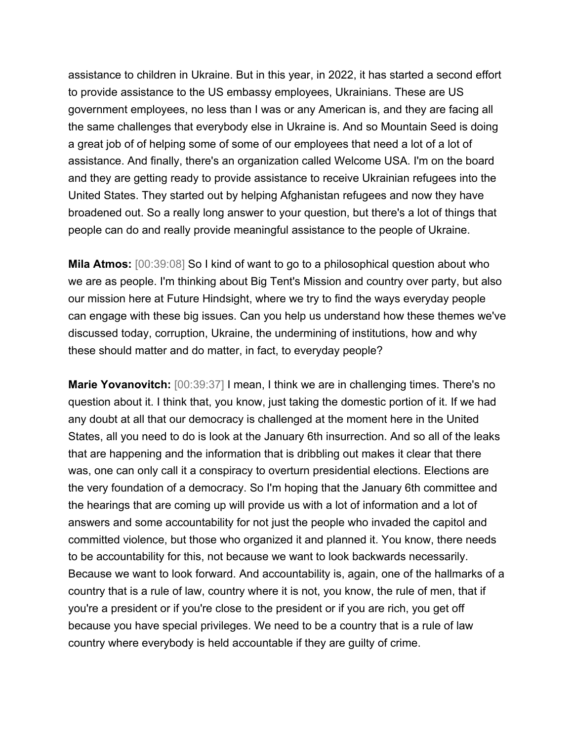assistance to children in Ukraine. But in this year, in 2022, it has started a second effort to provide assistance to the US embassy employees, Ukrainians. These are US government employees, no less than I was or any American is, and they are facing all the same challenges that everybody else in Ukraine is. And so Mountain Seed is doing a great job of of helping some of some of our employees that need a lot of a lot of assistance. And finally, there's an organization called Welcome USA. I'm on the board and they are getting ready to provide assistance to receive Ukrainian refugees into the United States. They started out by helping Afghanistan refugees and now they have broadened out. So a really long answer to your question, but there's a lot of things that people can do and really provide meaningful assistance to the people of Ukraine.

**Mila Atmos:** [00:39:08] So I kind of want to go to a philosophical question about who we are as people. I'm thinking about Big Tent's Mission and country over party, but also our mission here at Future Hindsight, where we try to find the ways everyday people can engage with these big issues. Can you help us understand how these themes we've discussed today, corruption, Ukraine, the undermining of institutions, how and why these should matter and do matter, in fact, to everyday people?

**Marie Yovanovitch:** [00:39:37] I mean, I think we are in challenging times. There's no question about it. I think that, you know, just taking the domestic portion of it. If we had any doubt at all that our democracy is challenged at the moment here in the United States, all you need to do is look at the January 6th insurrection. And so all of the leaks that are happening and the information that is dribbling out makes it clear that there was, one can only call it a conspiracy to overturn presidential elections. Elections are the very foundation of a democracy. So I'm hoping that the January 6th committee and the hearings that are coming up will provide us with a lot of information and a lot of answers and some accountability for not just the people who invaded the capitol and committed violence, but those who organized it and planned it. You know, there needs to be accountability for this, not because we want to look backwards necessarily. Because we want to look forward. And accountability is, again, one of the hallmarks of a country that is a rule of law, country where it is not, you know, the rule of men, that if you're a president or if you're close to the president or if you are rich, you get off because you have special privileges. We need to be a country that is a rule of law country where everybody is held accountable if they are guilty of crime.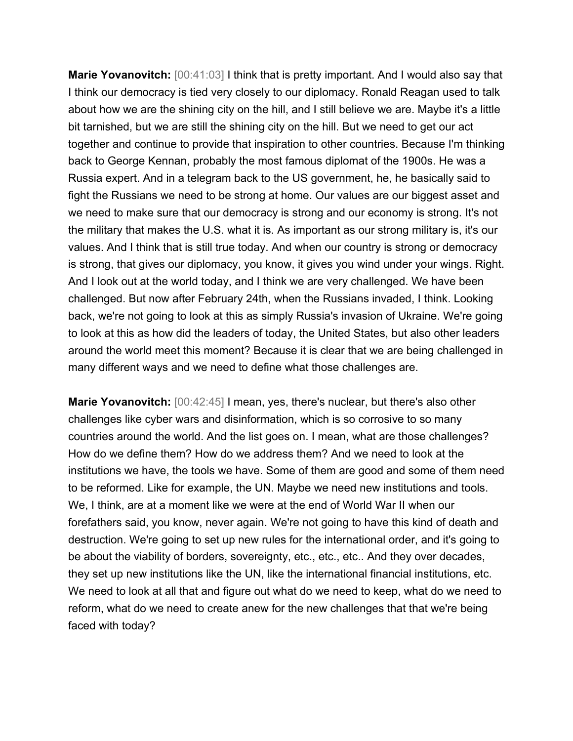**Marie Yovanovitch:** [00:41:03] I think that is pretty important. And I would also say that I think our democracy is tied very closely to our diplomacy. Ronald Reagan used to talk about how we are the shining city on the hill, and I still believe we are. Maybe it's a little bit tarnished, but we are still the shining city on the hill. But we need to get our act together and continue to provide that inspiration to other countries. Because I'm thinking back to George Kennan, probably the most famous diplomat of the 1900s. He was a Russia expert. And in a telegram back to the US government, he, he basically said to fight the Russians we need to be strong at home. Our values are our biggest asset and we need to make sure that our democracy is strong and our economy is strong. It's not the military that makes the U.S. what it is. As important as our strong military is, it's our values. And I think that is still true today. And when our country is strong or democracy is strong, that gives our diplomacy, you know, it gives you wind under your wings. Right. And I look out at the world today, and I think we are very challenged. We have been challenged. But now after February 24th, when the Russians invaded, I think. Looking back, we're not going to look at this as simply Russia's invasion of Ukraine. We're going to look at this as how did the leaders of today, the United States, but also other leaders around the world meet this moment? Because it is clear that we are being challenged in many different ways and we need to define what those challenges are.

**Marie Yovanovitch:** [00:42:45] I mean, yes, there's nuclear, but there's also other challenges like cyber wars and disinformation, which is so corrosive to so many countries around the world. And the list goes on. I mean, what are those challenges? How do we define them? How do we address them? And we need to look at the institutions we have, the tools we have. Some of them are good and some of them need to be reformed. Like for example, the UN. Maybe we need new institutions and tools. We, I think, are at a moment like we were at the end of World War II when our forefathers said, you know, never again. We're not going to have this kind of death and destruction. We're going to set up new rules for the international order, and it's going to be about the viability of borders, sovereignty, etc., etc., etc.. And they over decades, they set up new institutions like the UN, like the international financial institutions, etc. We need to look at all that and figure out what do we need to keep, what do we need to reform, what do we need to create anew for the new challenges that that we're being faced with today?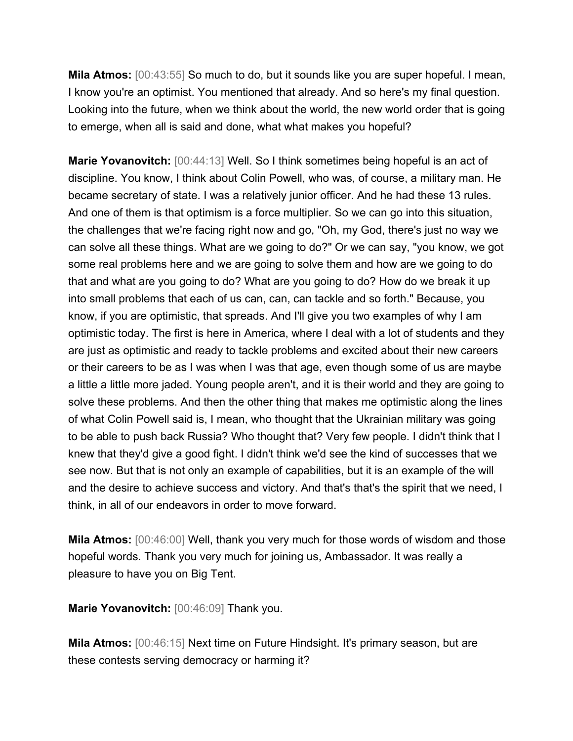**Mila Atmos:** [00:43:55] So much to do, but it sounds like you are super hopeful. I mean, I know you're an optimist. You mentioned that already. And so here's my final question. Looking into the future, when we think about the world, the new world order that is going to emerge, when all is said and done, what what makes you hopeful?

**Marie Yovanovitch:** [00:44:13] Well. So I think sometimes being hopeful is an act of discipline. You know, I think about Colin Powell, who was, of course, a military man. He became secretary of state. I was a relatively junior officer. And he had these 13 rules. And one of them is that optimism is a force multiplier. So we can go into this situation, the challenges that we're facing right now and go, "Oh, my God, there's just no way we can solve all these things. What are we going to do?" Or we can say, "you know, we got some real problems here and we are going to solve them and how are we going to do that and what are you going to do? What are you going to do? How do we break it up into small problems that each of us can, can, can tackle and so forth." Because, you know, if you are optimistic, that spreads. And I'll give you two examples of why I am optimistic today. The first is here in America, where I deal with a lot of students and they are just as optimistic and ready to tackle problems and excited about their new careers or their careers to be as I was when I was that age, even though some of us are maybe a little a little more jaded. Young people aren't, and it is their world and they are going to solve these problems. And then the other thing that makes me optimistic along the lines of what Colin Powell said is, I mean, who thought that the Ukrainian military was going to be able to push back Russia? Who thought that? Very few people. I didn't think that I knew that they'd give a good fight. I didn't think we'd see the kind of successes that we see now. But that is not only an example of capabilities, but it is an example of the will and the desire to achieve success and victory. And that's that's the spirit that we need, I think, in all of our endeavors in order to move forward.

**Mila Atmos:** [00:46:00] Well, thank you very much for those words of wisdom and those hopeful words. Thank you very much for joining us, Ambassador. It was really a pleasure to have you on Big Tent.

**Marie Yovanovitch:** [00:46:09] Thank you.

**Mila Atmos:** [00:46:15] Next time on Future Hindsight. It's primary season, but are these contests serving democracy or harming it?